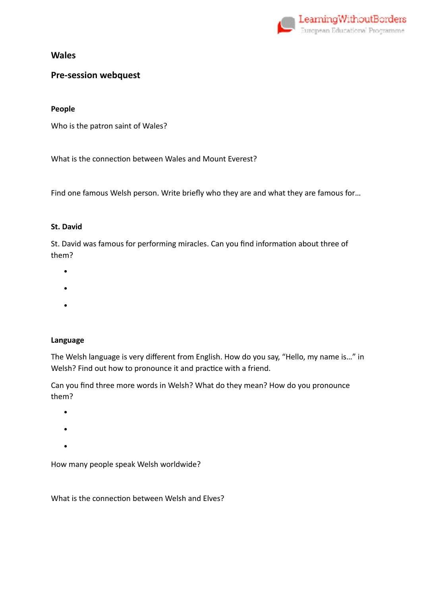

## **Pre-session webquest**

#### **People**

Who is the patron saint of Wales?

What is the connection between Wales and Mount Everest?

Find one famous Welsh person. Write briefly who they are and what they are famous for…

#### **St. David**

St. David was famous for performing miracles. Can you find information about three of them?

- •
- 
- •
- •

### **Language**

The Welsh language is very different from English. How do you say, "Hello, my name is…" in Welsh? Find out how to pronounce it and practice with a friend.

Can you find three more words in Welsh? What do they mean? How do you pronounce them?

- •
- •
- •

How many people speak Welsh worldwide?

What is the connection between Welsh and Elves?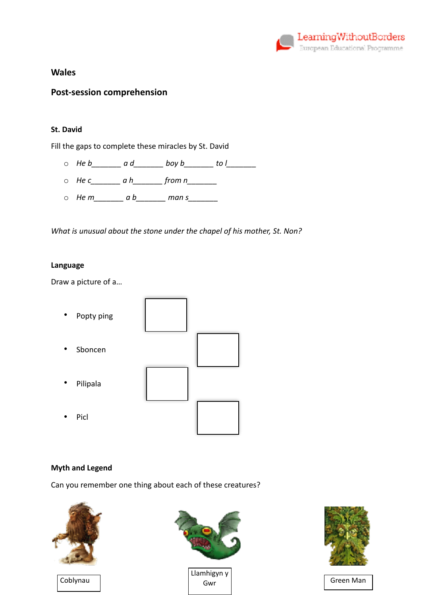

## **Post-session comprehension**

### **St. David**

Fill the gaps to complete these miracles by St. David

- $\circ$  *He b*  $\circ$  a d  $\circ$  *boy b*  $\circ$  to l
- o *He c\_\_\_\_\_\_\_ a h\_\_\_\_\_\_\_ from n\_\_\_\_\_\_\_*
- $\circ$  *Hem*  $ab$  man s

*What is unusual about the stone under the chapel of his mother, St. Non?* 

#### **Language**

Draw a picture of a…

- Popty ping
- **Sboncen**
- Pilipala
- Picl



### **Myth and Legend**

Can you remember one thing about each of these creatures?







Gwr Green Man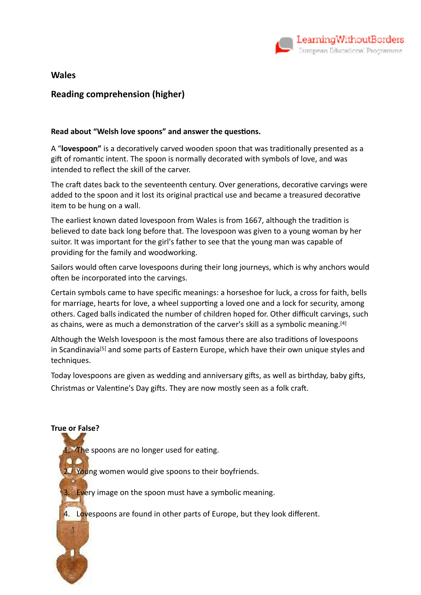

# **Reading comprehension (higher)**

### Read about "Welsh love spoons" and answer the questions.

A "**lovespoon"** is a decoratively carved wooden spoon that was traditionally presented as a gift of romantic intent. The spoon is normally decorated with symbols of love, and was intended to reflect the skill of the carver.

The craft dates back to the seventeenth century. Over generations, decorative carvings were added to the spoon and it lost its original practical use and became a treasured decorative item to be hung on a wall.

The earliest known dated lovespoon from Wales is from 1667, although the tradition is believed to date back long before that. The lovespoon was given to a young woman by her suitor. It was important for the girl's father to see that the young man was capable of providing for the family and woodworking.

Sailors would often carve lovespoons during their long journeys, which is why anchors would often be incorporated into the carvings.

Certain symbols came to have specific meanings: a [horseshoe](https://en.wikipedia.org/wiki/Horseshoe) for luck, a [cross](https://en.wikipedia.org/wiki/Christian_cross) for faith, bells for marriage, hearts for love, a [wheel](https://en.wikipedia.org/wiki/Wheel) supporting a loved one and a [lock](https://en.wikipedia.org/wiki/Lock_(security_device)) for security, among others. Caged balls indicated the number of children hoped for. Other difficult carvings, such as chains, were as much a demonstration of the carver's skill as a symbolic meaning.<sup>[\[4\]](https://en.wikipedia.org/wiki/Lovespoon#cite_note-4)</sup>

Although the Welsh lovespoon is the most famous there are also traditions of lovespoons in [Scandinavia](https://en.wikipedia.org/wiki/Scandinavia)<sup>[\[5\]](https://en.wikipedia.org/wiki/Lovespoon#cite_note-5)</sup> and some parts of [Eastern Europe](https://en.wikipedia.org/wiki/Eastern_Europe), which have their own unique styles and techniques.

Today lovespoons are given as wedding and anniversary gifts, as well as birthday, baby gifts, Christmas or Valentine's Day gifts. They are now mostly seen as a folk craft.

# **True or False?**

1. The spoons are no longer used for eating.

2. Young women would give spoons to their boyfriends.

3. Every image on the spoon must have a symbolic meaning.

4. Lovespoons are found in other parts of Europe, but they look different.